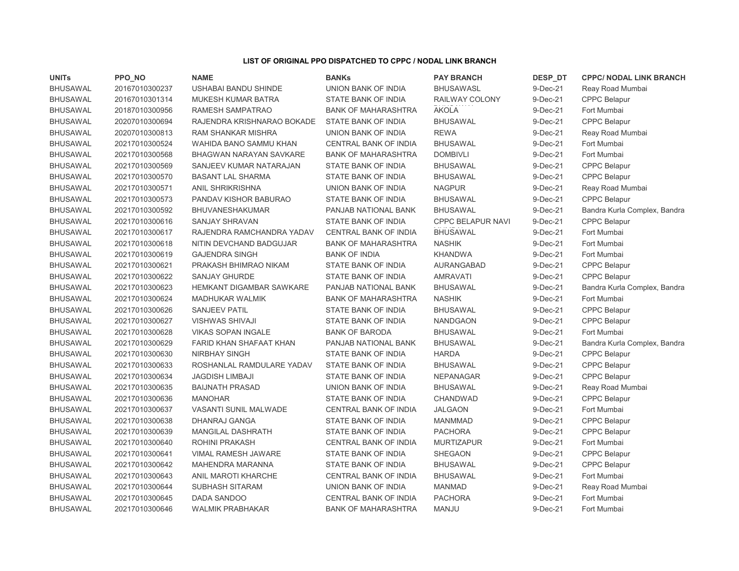## LIST OF ORIGINAL PPO DISPATCHED TO CPPC / NODAL LINK BRANCH

| <b>UNITs</b>    | PPO NO         | <b>NAME</b>                     | <b>BANKs</b>               | <b>PAY BRANCH</b>        | DESP_DT    | <b>CPPC/ NODAL LINK BRANCH</b> |
|-----------------|----------------|---------------------------------|----------------------------|--------------------------|------------|--------------------------------|
| <b>BHUSAWAL</b> | 20167010300237 | USHABAI BANDU SHINDE            | UNION BANK OF INDIA        | <b>BHUSAWASL</b>         | 9-Dec-21   | Reay Road Mumbai               |
| <b>BHUSAWAL</b> | 20167010301314 | MUKESH KUMAR BATRA              | STATE BANK OF INDIA        | RAILWAY COLONY           | 9-Dec-21   | <b>CPPC Belapur</b>            |
| <b>BHUSAWAL</b> | 20187010300956 | RAMESH SAMPATRAO                | <b>BANK OF MAHARASHTRA</b> | <b>AKOLA</b>             | 9-Dec-21   | Fort Mumbai                    |
| <b>BHUSAWAL</b> | 20207010300694 | RAJENDRA KRISHNARAO BOKADE      | STATE BANK OF INDIA        | <b>BHUSAWAL</b>          | 9-Dec-21   | <b>CPPC Belapur</b>            |
| <b>BHUSAWAL</b> | 20207010300813 | RAM SHANKAR MISHRA              | UNION BANK OF INDIA        | <b>REWA</b>              | 9-Dec-21   | Reay Road Mumbai               |
| <b>BHUSAWAL</b> | 20217010300524 | WAHIDA BANO SAMMU KHAN          | CENTRAL BANK OF INDIA      | <b>BHUSAWAL</b>          | 9-Dec-21   | Fort Mumbai                    |
| <b>BHUSAWAL</b> | 20217010300568 | BHAGWAN NARAYAN SAVKARE         | <b>BANK OF MAHARASHTRA</b> | <b>DOMBIVLI</b>          | $9-Dec-21$ | Fort Mumbai                    |
| <b>BHUSAWAL</b> | 20217010300569 | SANJEEV KUMAR NATARAJAN         | STATE BANK OF INDIA        | <b>BHUSAWAL</b>          | 9-Dec-21   | CPPC Belapur                   |
| <b>BHUSAWAL</b> | 20217010300570 | <b>BASANT LAL SHARMA</b>        | STATE BANK OF INDIA        | <b>BHUSAWAL</b>          | 9-Dec-21   | <b>CPPC Belapur</b>            |
| <b>BHUSAWAL</b> | 20217010300571 | <b>ANIL SHRIKRISHNA</b>         | UNION BANK OF INDIA        | <b>NAGPUR</b>            | 9-Dec-21   | Reay Road Mumbai               |
| <b>BHUSAWAL</b> | 20217010300573 | PANDAV KISHOR BABURAO           | STATE BANK OF INDIA        | <b>BHUSAWAL</b>          | 9-Dec-21   | <b>CPPC Belapur</b>            |
| <b>BHUSAWAL</b> | 20217010300592 | <b>BHUVANESHAKUMAR</b>          | PANJAB NATIONAL BANK       | <b>BHUSAWAL</b>          | 9-Dec-21   | Bandra Kurla Complex, Bandra   |
| <b>BHUSAWAL</b> | 20217010300616 | <b>SANJAY SHRAVAN</b>           | STATE BANK OF INDIA        | <b>CPPC BELAPUR NAVI</b> | 9-Dec-21   | <b>CPPC Belapur</b>            |
| <b>BHUSAWAL</b> | 20217010300617 | RAJENDRA RAMCHANDRA YADAV       | CENTRAL BANK OF INDIA      | <b>BHUSAWAL</b>          | 9-Dec-21   | Fort Mumbai                    |
| <b>BHUSAWAL</b> | 20217010300618 | NITIN DEVCHAND BADGUJAR         | <b>BANK OF MAHARASHTRA</b> | <b>NASHIK</b>            | 9-Dec-21   | Fort Mumbai                    |
| <b>BHUSAWAL</b> | 20217010300619 | <b>GAJENDRA SINGH</b>           | <b>BANK OF INDIA</b>       | <b>KHANDWA</b>           | 9-Dec-21   | Fort Mumbai                    |
| <b>BHUSAWAL</b> | 20217010300621 | PRAKASH BHIMRAO NIKAM           | STATE BANK OF INDIA        | AURANGABAD               | 9-Dec-21   | <b>CPPC Belapur</b>            |
| <b>BHUSAWAL</b> | 20217010300622 | <b>SANJAY GHURDE</b>            | STATE BANK OF INDIA        | <b>AMRAVATI</b>          | 9-Dec-21   | <b>CPPC Belapur</b>            |
| <b>BHUSAWAL</b> | 20217010300623 | <b>HEMKANT DIGAMBAR SAWKARE</b> | PANJAB NATIONAL BANK       | <b>BHUSAWAL</b>          | 9-Dec-21   | Bandra Kurla Complex, Bandra   |
| <b>BHUSAWAL</b> | 20217010300624 | <b>MADHUKAR WALMIK</b>          | <b>BANK OF MAHARASHTRA</b> | <b>NASHIK</b>            | 9-Dec-21   | Fort Mumbai                    |
| <b>BHUSAWAL</b> | 20217010300626 | <b>SANJEEV PATIL</b>            | STATE BANK OF INDIA        | <b>BHUSAWAL</b>          | 9-Dec-21   | <b>CPPC Belapur</b>            |
| <b>BHUSAWAL</b> | 20217010300627 | <b>VISHWAS SHIVAJI</b>          | STATE BANK OF INDIA        | <b>NANDGAON</b>          | 9-Dec-21   | CPPC Belapur                   |
| <b>BHUSAWAL</b> | 20217010300628 | <b>VIKAS SOPAN INGALE</b>       | <b>BANK OF BARODA</b>      | <b>BHUSAWAL</b>          | 9-Dec-21   | Fort Mumbai                    |
| <b>BHUSAWAL</b> | 20217010300629 | FARID KHAN SHAFAAT KHAN         | PANJAB NATIONAL BANK       | <b>BHUSAWAL</b>          | 9-Dec-21   | Bandra Kurla Complex, Bandra   |
| <b>BHUSAWAL</b> | 20217010300630 | <b>NIRBHAY SINGH</b>            | STATE BANK OF INDIA        | <b>HARDA</b>             | 9-Dec-21   | <b>CPPC Belapur</b>            |
| <b>BHUSAWAL</b> | 20217010300633 | ROSHANLAL RAMDULARE YADAV       | STATE BANK OF INDIA        | <b>BHUSAWAL</b>          | 9-Dec-21   | <b>CPPC Belapur</b>            |
| <b>BHUSAWAL</b> | 20217010300634 | <b>JAGDISH LIMBAJI</b>          | STATE BANK OF INDIA        | <b>NEPANAGAR</b>         | 9-Dec-21   | <b>CPPC Belapur</b>            |
| <b>BHUSAWAL</b> | 20217010300635 | <b>BAIJNATH PRASAD</b>          | UNION BANK OF INDIA        | <b>BHUSAWAL</b>          | 9-Dec-21   | Reay Road Mumbai               |
| <b>BHUSAWAL</b> | 20217010300636 | <b>MANOHAR</b>                  | STATE BANK OF INDIA        | CHANDWAD                 | 9-Dec-21   | <b>CPPC Belapur</b>            |
| <b>BHUSAWAL</b> | 20217010300637 | <b>VASANTI SUNIL MALWADE</b>    | CENTRAL BANK OF INDIA      | <b>JALGAON</b>           | 9-Dec-21   | Fort Mumbai                    |
| <b>BHUSAWAL</b> | 20217010300638 | DHANRAJ GANGA                   | STATE BANK OF INDIA        | <b>MANMMAD</b>           | 9-Dec-21   | <b>CPPC Belapur</b>            |
| <b>BHUSAWAL</b> | 20217010300639 | MANGILAL DASHRATH               | STATE BANK OF INDIA        | <b>PACHORA</b>           | 9-Dec-21   | <b>CPPC Belapur</b>            |
| <b>BHUSAWAL</b> | 20217010300640 | ROHINI PRAKASH                  | CENTRAL BANK OF INDIA      | <b>MURTIZAPUR</b>        | 9-Dec-21   | Fort Mumbai                    |
| <b>BHUSAWAL</b> | 20217010300641 | VIMAL RAMESH JAWARE             | STATE BANK OF INDIA        | <b>SHEGAON</b>           | 9-Dec-21   | <b>CPPC Belapur</b>            |
| <b>BHUSAWAL</b> | 20217010300642 | MAHENDRA MARANNA                | STATE BANK OF INDIA        | <b>BHUSAWAL</b>          | 9-Dec-21   | <b>CPPC Belapur</b>            |
| <b>BHUSAWAL</b> | 20217010300643 | ANIL MAROTI KHARCHE             | CENTRAL BANK OF INDIA      | <b>BHUSAWAL</b>          | 9-Dec-21   | Fort Mumbai                    |
| <b>BHUSAWAL</b> | 20217010300644 | <b>SUBHASH SITARAM</b>          | UNION BANK OF INDIA        | <b>MANMAD</b>            | 9-Dec-21   | Reay Road Mumbai               |
| <b>BHUSAWAL</b> | 20217010300645 | DADA SANDOO                     | CENTRAL BANK OF INDIA      | <b>PACHORA</b>           | 9-Dec-21   | Fort Mumbai                    |
| <b>BHUSAWAL</b> | 20217010300646 | <b>WALMIK PRABHAKAR</b>         | <b>BANK OF MAHARASHTRA</b> | <b>MANJU</b>             | 9-Dec-21   | Fort Mumbai                    |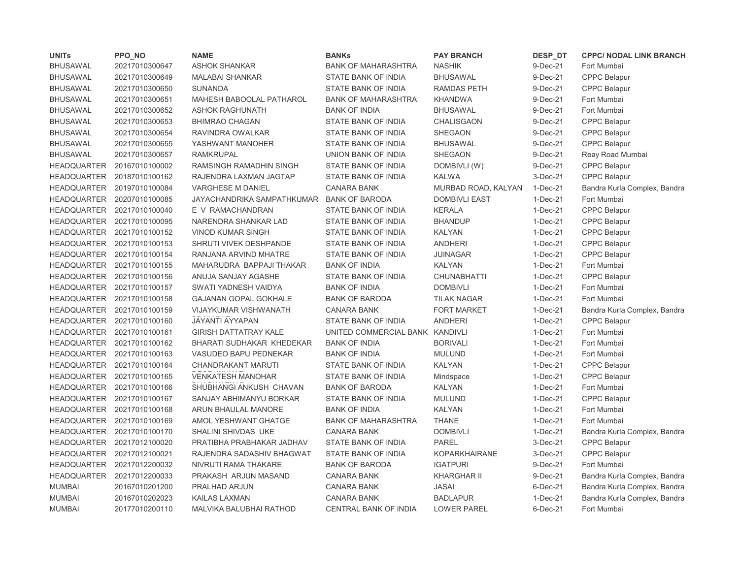| <b>UNITs</b>       | PPO_NO         | <b>NAME</b>                  | <b>BANKs</b>               | <b>PAY BRANCH</b>    | DESP_DT    | <b>CPPC/ NODAL LINK BRANCH</b> |
|--------------------|----------------|------------------------------|----------------------------|----------------------|------------|--------------------------------|
| <b>BHUSAWAL</b>    | 20217010300647 | <b>ASHOK SHANKAR</b>         | <b>BANK OF MAHARASHTRA</b> | <b>NASHIK</b>        | 9-Dec-21   | Fort Mumbai                    |
| <b>BHUSAWAL</b>    | 20217010300649 | <b>MALABAI SHANKAR</b>       | STATE BANK OF INDIA        | <b>BHUSAWAL</b>      | 9-Dec-21   | <b>CPPC Belapur</b>            |
| <b>BHUSAWAL</b>    | 20217010300650 | <b>SUNANDA</b>               | STATE BANK OF INDIA        | <b>RAMDAS PETH</b>   | 9-Dec-21   | CPPC Belapur                   |
| <b>BHUSAWAL</b>    | 20217010300651 | MAHESH BABOOLAL PATHAROL     | <b>BANK OF MAHARASHTRA</b> | <b>KHANDWA</b>       | 9-Dec-21   | Fort Mumbai                    |
| <b>BHUSAWAL</b>    | 20217010300652 | <b>ASHOK RAGHUNATH</b>       | <b>BANK OF INDIA</b>       | <b>BHUSAWAL</b>      | 9-Dec-21   | Fort Mumbai                    |
| <b>BHUSAWAL</b>    | 20217010300653 | <b>BHIMRAO CHAGAN</b>        | STATE BANK OF INDIA        | <b>CHALISGAON</b>    | 9-Dec-21   | <b>CPPC Belapur</b>            |
| <b>BHUSAWAL</b>    | 20217010300654 | RAVINDRA OWALKAR             | STATE BANK OF INDIA        | <b>SHEGAON</b>       | 9-Dec-21   | <b>CPPC Belapur</b>            |
| <b>BHUSAWAL</b>    | 20217010300655 | YASHWANT MANOHER             | STATE BANK OF INDIA        | <b>BHUSAWAL</b>      | 9-Dec-21   | <b>CPPC Belapur</b>            |
| <b>BHUSAWAL</b>    | 20217010300657 | <b>RAMKRUPAL</b>             | UNION BANK OF INDIA        | <b>SHEGAON</b>       | 9-Dec-21   | Reay Road Mumbai               |
| <b>HEADQUARTER</b> | 20167010100002 | RAMSINGH RAMADHIN SINGH      | STATE BANK OF INDIA        | DOMBIVLI (W)         | 9-Dec-21   | CPPC Belapur                   |
| <b>HEADQUARTER</b> | 20187010100162 | RAJENDRA LAXMAN JAGTAP       | STATE BANK OF INDIA        | <b>KALWA</b>         | 3-Dec-21   | <b>CPPC Belapur</b>            |
| <b>HEADQUARTER</b> | 20197010100084 | VARGHESE M DANIEL            | <b>CANARA BANK</b>         | MURBAD ROAD, KALYAN  | 1-Dec-21   | Bandra Kurla Complex, Bandra   |
| <b>HEADQUARTER</b> | 20207010100085 | JAYACHANDRIKA SAMPATHKUMAR   | <b>BANK OF BARODA</b>      | <b>DOMBIVLI EAST</b> | $1-Dec-21$ | Fort Mumbai                    |
| <b>HEADQUARTER</b> | 20217010100040 | E V RAMACHANDRAN             | STATE BANK OF INDIA        | <b>KERALA</b>        | $1-Dec-21$ | <b>CPPC Belapur</b>            |
| <b>HEADQUARTER</b> | 20217010100095 | NARENDRA SHANKAR LAD         | STATE BANK OF INDIA        | <b>BHANDUP</b>       | $1-Dec-21$ | <b>CPPC Belapur</b>            |
| <b>HEADQUARTER</b> | 20217010100152 | <b>VINOD KUMAR SINGH</b>     | STATE BANK OF INDIA        | <b>KALYAN</b>        | $1-Dec-21$ | <b>CPPC Belapur</b>            |
| <b>HEADQUARTER</b> | 20217010100153 | SHRUTI VIVEK DESHPANDE       | STATE BANK OF INDIA        | <b>ANDHERI</b>       | $1-Dec-21$ | CPPC Belapur                   |
| <b>HEADQUARTER</b> | 20217010100154 | RANJANA ARVIND MHATRE        | STATE BANK OF INDIA        | <b>JUINAGAR</b>      | $1-Dec-21$ | <b>CPPC Belapur</b>            |
| <b>HEADQUARTER</b> | 20217010100155 | MAHARUDRA BAPPAJI THAKAR     | <b>BANK OF INDIA</b>       | <b>KALYAN</b>        | 1-Dec-21   | Fort Mumbai                    |
| <b>HEADQUARTER</b> | 20217010100156 | ANUJA SANJAY AGASHE          | STATE BANK OF INDIA        | <b>CHUNABHATTI</b>   | 1-Dec-21   | <b>CPPC Belapur</b>            |
| <b>HEADQUARTER</b> | 20217010100157 | SWATI YADNESH VAIDYA         | <b>BANK OF INDIA</b>       | <b>DOMBIVLI</b>      | $1-Dec-21$ | Fort Mumbai                    |
| <b>HEADQUARTER</b> | 20217010100158 | <b>GAJANAN GOPAL GOKHALE</b> | <b>BANK OF BARODA</b>      | <b>TILAK NAGAR</b>   | $1-Dec-21$ | Fort Mumbai                    |
| <b>HEADQUARTER</b> | 20217010100159 | VIJAYKUMAR VISHWANATH        | <b>CANARA BANK</b>         | <b>FORT MARKET</b>   | $1-Dec-21$ | Bandra Kurla Complex, Bandra   |
| <b>HEADQUARTER</b> | 20217010100160 | <b>JAYANTI AYYAPAN</b>       | STATE BANK OF INDIA        | <b>ANDHERI</b>       | $1-Dec-21$ | <b>CPPC Belapur</b>            |
| HEADQUARTER        | 20217010100161 | <b>GIRISH DATTATRAY KALE</b> | UNITED COMMERCIAL BANK     | KANDIVLI             | $1-Dec-21$ | Fort Mumbai                    |
| <b>HEADQUARTER</b> | 20217010100162 | BHARATI SUDHAKAR KHEDEKAR    | <b>BANK OF INDIA</b>       | <b>BORIVALI</b>      | $1-Dec-21$ | Fort Mumbai                    |
| <b>HEADQUARTER</b> | 20217010100163 | VASUDEO BAPU PEDNEKAR        | <b>BANK OF INDIA</b>       | <b>MULUND</b>        | $1-Dec-21$ | Fort Mumbai                    |
| <b>HEADQUARTER</b> | 20217010100164 | CHANDRAKANT MARUTI           | STATE BANK OF INDIA        | <b>KALYAN</b>        | $1-Dec-21$ | CPPC Belapur                   |
| <b>HEADQUARTER</b> | 20217010100165 | <b>VENKATESH MANOHAR</b>     | STATE BANK OF INDIA        | Mindspace            | $1-Dec-21$ | <b>CPPC Belapur</b>            |
| <b>HEADQUARTER</b> | 20217010100166 | SHUBHANGI ANKUSH CHAVAN      | <b>BANK OF BARODA</b>      | <b>KALYAN</b>        | $1-Dec-21$ | Fort Mumbai                    |
| <b>HEADQUARTER</b> | 20217010100167 | SANJAY ABHIMANYU BORKAR      | STATE BANK OF INDIA        | <b>MULUND</b>        | 1-Dec-21   | <b>CPPC Belapur</b>            |
| <b>HEADQUARTER</b> | 20217010100168 | ARUN BHAULAL MANORE          | <b>BANK OF INDIA</b>       | <b>KALYAN</b>        | $1-Dec-21$ | Fort Mumbai                    |
| <b>HEADQUARTER</b> | 20217010100169 | AMOL YESHWANT GHATGE         | <b>BANK OF MAHARASHTRA</b> | <b>THANE</b>         | 1-Dec-21   | Fort Mumbai                    |
| <b>HEADQUARTER</b> | 20217010100170 | SHALINI SHIVDAS UKE          | <b>CANARA BANK</b>         | <b>DOMBIVLI</b>      | $1-Dec-21$ | Bandra Kurla Complex, Bandra   |
| <b>HEADQUARTER</b> | 20217012100020 | PRATIBHA PRABHAKAR JADHAV    | STATE BANK OF INDIA        | <b>PAREL</b>         | 3-Dec-21   | <b>CPPC Belapur</b>            |
| <b>HEADQUARTER</b> | 20217012100021 | RAJENDRA SADASHIV BHAGWAT    | STATE BANK OF INDIA        | <b>KOPARKHAIRANE</b> | 3-Dec-21   | <b>CPPC Belapur</b>            |
| <b>HEADQUARTER</b> | 20217012200032 | NIVRUTI RAMA THAKARE         | <b>BANK OF BARODA</b>      | <b>IGATPURI</b>      | 9-Dec-21   | Fort Mumbai                    |
| <b>HEADQUARTER</b> | 20217012200033 | PRAKASH ARJUN MASAND         | <b>CANARA BANK</b>         | KHARGHAR II          | 9-Dec-21   | Bandra Kurla Complex, Bandra   |
| <b>MUMBAI</b>      | 20167010201200 | PRALHAD ARJUN                | <b>CANARA BANK</b>         | <b>JASAI</b>         | 6-Dec-21   | Bandra Kurla Complex, Bandra   |
| <b>MUMBAI</b>      | 20167010202023 | <b>KAILAS LAXMAN</b>         | <b>CANARA BANK</b>         | <b>BADLAPUR</b>      | 1-Dec-21   | Bandra Kurla Complex, Bandra   |
| <b>MUMBAI</b>      | 20177010200110 | MALVIKA BALUBHAI RATHOD      | CENTRAL BANK OF INDIA      | <b>LOWER PAREL</b>   | 6-Dec-21   | Fort Mumbai                    |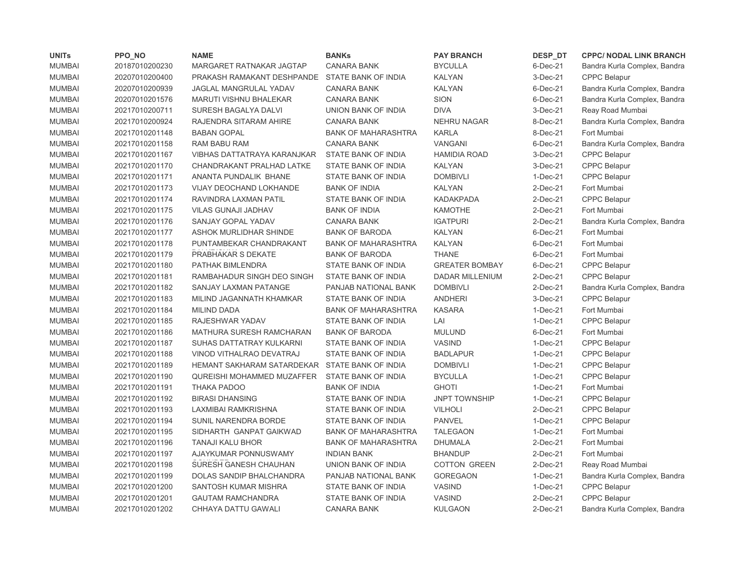| <b>UNITS</b>  | PPO_NO         | <b>NAME</b>                                    | <b>BANKs</b>               | <b>PAY BRANCH</b>      | DESP_DT        | <b>CPPC/ NODAL LINK BRANCH</b> |
|---------------|----------------|------------------------------------------------|----------------------------|------------------------|----------------|--------------------------------|
| <b>MUMBAI</b> | 20187010200230 | MARGARET RATNAKAR JAGTAP                       | <b>CANARA BANK</b>         | <b>BYCULLA</b>         | 6-Dec-21       | Bandra Kurla Complex, Bandra   |
| <b>MUMBAI</b> | 20207010200400 | PRAKASH RAMAKANT DESHPANDE                     | STATE BANK OF INDIA        | <b>KALYAN</b>          | $3-Dec-21$     | <b>CPPC Belapur</b>            |
| <b>MUMBAI</b> | 20207010200939 | <b>JAGLAL MANGRULAL YADAV</b>                  | <b>CANARA BANK</b>         | <b>KALYAN</b>          | 6-Dec-21       | Bandra Kurla Complex, Bandra   |
| <b>MUMBAI</b> | 20207010201576 | MARUTI VISHNU BHALEKAR                         | <b>CANARA BANK</b>         | <b>SION</b>            | 6-Dec-21       | Bandra Kurla Complex, Bandra   |
| <b>MUMBAI</b> | 20217010200711 | SURESH BAGALYA DALVI                           | UNION BANK OF INDIA        | <b>DIVA</b>            | 3-Dec-21       | Reay Road Mumbai               |
| <b>MUMBAI</b> | 20217010200924 | RAJENDRA SITARAM AHIRE                         | <b>CANARA BANK</b>         | <b>NEHRU NAGAR</b>     | 8-Dec-21       | Bandra Kurla Complex, Bandra   |
| <b>MUMBAI</b> | 20217010201148 | <b>BABAN GOPAL</b>                             | <b>BANK OF MAHARASHTRA</b> | <b>KARLA</b>           | 8-Dec-21       | Fort Mumbai                    |
| <b>MUMBAI</b> | 20217010201158 | RAM BABU RAM                                   | <b>CANARA BANK</b>         | <b>VANGANI</b>         | 6-Dec-21       | Bandra Kurla Complex, Bandra   |
| <b>MUMBAI</b> | 20217010201167 | <b>VIBHAS DATTATRAYA KARANJKAR</b>             | STATE BANK OF INDIA        | <b>HAMIDIA ROAD</b>    | 3-Dec-21       | <b>CPPC Belapur</b>            |
| <b>MUMBAI</b> | 20217010201170 | CHANDRAKANT PRALHAD LATKE                      | STATE BANK OF INDIA        | <b>KALYAN</b>          | 3-Dec-21       | <b>CPPC Belapur</b>            |
| <b>MUMBAI</b> | 20217010201171 | ANANTA PUNDALIK BHANE                          | STATE BANK OF INDIA        | <b>DOMBIVLI</b>        | $1-Dec-21$     | <b>CPPC Belapur</b>            |
| <b>MUMBAI</b> | 20217010201173 | VIJAY DEOCHAND LOKHANDE                        | <b>BANK OF INDIA</b>       | <b>KALYAN</b>          | $2$ -Dec- $21$ | Fort Mumbai                    |
| <b>MUMBAI</b> | 20217010201174 | RAVINDRA LAXMAN PATIL                          | STATE BANK OF INDIA        | <b>KADAKPADA</b>       | $2$ -Dec- $21$ | <b>CPPC Belapur</b>            |
| <b>MUMBAI</b> | 20217010201175 | <b>VILAS GUNAJI JADHAV</b>                     | <b>BANK OF INDIA</b>       | <b>KAMOTHE</b>         | 2-Dec-21       | Fort Mumbai                    |
| <b>MUMBAI</b> | 20217010201176 | SANJAY GOPAL YADAV                             | <b>CANARA BANK</b>         | <b>IGATPURI</b>        | $2-Dec-21$     | Bandra Kurla Complex, Bandra   |
| <b>MUMBAI</b> | 20217010201177 | ASHOK MURLIDHAR SHINDE                         | <b>BANK OF BARODA</b>      | <b>KALYAN</b>          | $6$ -Dec-21    | Fort Mumbai                    |
| <b>MUMBAI</b> | 20217010201178 | PUNTAMBEKAR CHANDRAKANT                        | <b>BANK OF MAHARASHTRA</b> | <b>KALYAN</b>          | 6-Dec-21       | Fort Mumbai                    |
| <b>MUMBAI</b> | 20217010201179 | <b>PRABHAKAR S DEKATE</b>                      | <b>BANK OF BARODA</b>      | <b>THANE</b>           | 6-Dec-21       | Fort Mumbai                    |
| <b>MUMBAI</b> | 20217010201180 | <b>PATHAK BIMLENDRA</b>                        | STATE BANK OF INDIA        | <b>GREATER BOMBAY</b>  | 6-Dec-21       | <b>CPPC Belapur</b>            |
| <b>MUMBAI</b> | 20217010201181 | RAMBAHADUR SINGH DEO SINGH                     | STATE BANK OF INDIA        | <b>DADAR MILLENIUM</b> | 2-Dec-21       | <b>CPPC Belapur</b>            |
| <b>MUMBAI</b> | 20217010201182 | SANJAY LAXMAN PATANGE                          | PANJAB NATIONAL BANK       | <b>DOMBIVLI</b>        | $2-Dec-21$     | Bandra Kurla Complex, Bandra   |
| <b>MUMBAI</b> | 20217010201183 | MILIND JAGANNATH KHAMKAR                       | STATE BANK OF INDIA        | <b>ANDHERI</b>         | $3-Dec-21$     | <b>CPPC Belapur</b>            |
| <b>MUMBAI</b> | 20217010201184 | <b>MILIND DADA</b>                             | <b>BANK OF MAHARASHTRA</b> | <b>KASARA</b>          | $1-Dec-21$     | Fort Mumbai                    |
| <b>MUMBAI</b> | 20217010201185 | RAJESHWAR YADAV                                | <b>STATE BANK OF INDIA</b> | LAI                    | $1-Dec-21$     | <b>CPPC Belapur</b>            |
| <b>MUMBAI</b> | 20217010201186 | MATHURA SURESH RAMCHARAN                       | <b>BANK OF BARODA</b>      | <b>MULUND</b>          | $6$ -Dec-21    | Fort Mumbai                    |
| <b>MUMBAI</b> | 20217010201187 | SUHAS DATTATRAY KULKARNI                       | STATE BANK OF INDIA        | <b>VASIND</b>          | $1-Dec-21$     | <b>CPPC Belapur</b>            |
| <b>MUMBAI</b> | 20217010201188 | VINOD VITHALRAO DEVATRAJ                       | STATE BANK OF INDIA        | <b>BADLAPUR</b>        | $1-Dec-21$     | CPPC Belapur                   |
| <b>MUMBAI</b> | 20217010201189 | HEMANT SAKHARAM SATARDEKAR STATE BANK OF INDIA |                            | <b>DOMBIVLI</b>        | $1-Dec-21$     | CPPC Belapur                   |
| <b>MUMBAI</b> | 20217010201190 | QUREISHI MOHAMMED MUZAFFER                     | STATE BANK OF INDIA        | <b>BYCULLA</b>         | $1-Dec-21$     | <b>CPPC Belapur</b>            |
| <b>MUMBAI</b> | 20217010201191 | <b>THAKA PADOO</b>                             | <b>BANK OF INDIA</b>       | <b>GHOTI</b>           | $1-Dec-21$     | Fort Mumbai                    |
| <b>MUMBAI</b> | 20217010201192 | <b>BIRASI DHANSING</b>                         | STATE BANK OF INDIA        | <b>JNPT TOWNSHIP</b>   | $1-Dec-21$     | <b>CPPC Belapur</b>            |
| <b>MUMBAI</b> | 20217010201193 | LAXMIBAI RAMKRISHNA                            | STATE BANK OF INDIA        | <b>VILHOLI</b>         | $2$ -Dec- $21$ | CPPC Belapur                   |
| <b>MUMBAI</b> | 20217010201194 | SUNIL NARENDRA BORDE                           | STATE BANK OF INDIA        | <b>PANVEL</b>          | $1-Dec-21$     | <b>CPPC Belapur</b>            |
| <b>MUMBAI</b> | 20217010201195 | SIDHARTH GANPAT GAIKWAD                        | <b>BANK OF MAHARASHTRA</b> | <b>TALEGAON</b>        | $1-Dec-21$     | Fort Mumbai                    |
| <b>MUMBAI</b> | 20217010201196 | <b>TANAJI KALU BHOR</b>                        | <b>BANK OF MAHARASHTRA</b> | DHUMALA                | $2$ -Dec- $21$ | Fort Mumbai                    |
| <b>MUMBAI</b> | 20217010201197 | AJAYKUMAR PONNUSWAMY                           | <b>INDIAN BANK</b>         | <b>BHANDUP</b>         | 2-Dec-21       | Fort Mumbai                    |
| <b>MUMBAI</b> | 20217010201198 | SURESH GANESH CHAUHAN                          | UNION BANK OF INDIA        | <b>COTTON GREEN</b>    | $2$ -Dec-21    | Reay Road Mumbai               |
| <b>MUMBAI</b> | 20217010201199 | DOLAS SANDIP BHALCHANDRA                       | PANJAB NATIONAL BANK       | <b>GOREGAON</b>        | $1-Dec-21$     | Bandra Kurla Complex, Bandra   |
| <b>MUMBAI</b> | 20217010201200 | SANTOSH KUMAR MISHRA                           | STATE BANK OF INDIA        | <b>VASIND</b>          | $1-Dec-21$     | <b>CPPC Belapur</b>            |
| <b>MUMBAI</b> | 20217010201201 | <b>GAUTAM RAMCHANDRA</b>                       | <b>STATE BANK OF INDIA</b> | <b>VASIND</b>          | $2-Dec-21$     | <b>CPPC Belapur</b>            |
| <b>MUMBAI</b> | 20217010201202 | CHHAYA DATTU GAWALI                            | <b>CANARA BANK</b>         | <b>KULGAON</b>         | $2$ -Dec-21    | Bandra Kurla Complex, Bandra   |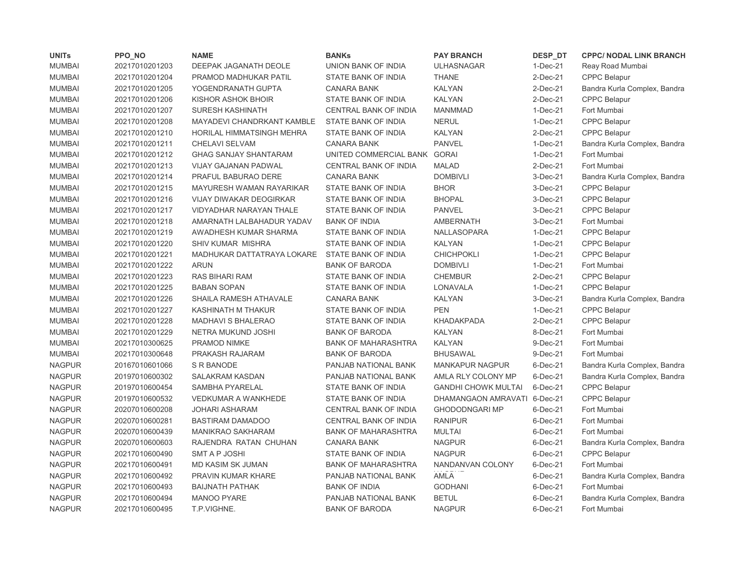| <b>UNITs</b>  | PPO_NO         | <b>NAME</b>                    | <b>BANKs</b>                 | <b>PAY BRANCH</b>            | DESP_DT     | <b>CPPC/ NODAL LINK BRANCH</b> |
|---------------|----------------|--------------------------------|------------------------------|------------------------------|-------------|--------------------------------|
| <b>MUMBAI</b> | 20217010201203 | DEEPAK JAGANATH DEOLE          | UNION BANK OF INDIA          | <b>ULHASNAGAR</b>            | $1-Dec-21$  | Reay Road Mumbai               |
| <b>MUMBAI</b> | 20217010201204 | PRAMOD MADHUKAR PATIL          | STATE BANK OF INDIA          | <b>THANE</b>                 | $2$ -Dec-21 | <b>CPPC Belapur</b>            |
| <b>MUMBAI</b> | 20217010201205 | YOGENDRANATH GUPTA             | <b>CANARA BANK</b>           | <b>KALYAN</b>                | 2-Dec-21    | Bandra Kurla Complex, Bandra   |
| <b>MUMBAI</b> | 20217010201206 | KISHOR ASHOK BHOIR             | STATE BANK OF INDIA          | <b>KALYAN</b>                | 2-Dec-21    | <b>CPPC Belapur</b>            |
| <b>MUMBAI</b> | 20217010201207 | <b>SURESH KASHINATH</b>        | CENTRAL BANK OF INDIA        | <b>MANMMAD</b>               | 1-Dec-21    | Fort Mumbai                    |
| <b>MUMBAI</b> | 20217010201208 | MAYADEVI CHANDRKANT KAMBLE     | STATE BANK OF INDIA          | <b>NERUL</b>                 | 1-Dec-21    | <b>CPPC Belapur</b>            |
| <b>MUMBAI</b> | 20217010201210 | HORILAL HIMMATSINGH MEHRA      | STATE BANK OF INDIA          | <b>KALYAN</b>                | 2-Dec-21    | <b>CPPC Belapur</b>            |
| <b>MUMBAI</b> | 20217010201211 | CHELAVI SELVAM                 | <b>CANARA BANK</b>           | <b>PANVEL</b>                | 1-Dec-21    | Bandra Kurla Complex, Bandra   |
| <b>MUMBAI</b> | 20217010201212 | <b>GHAG SANJAY SHANTARAM</b>   | UNITED COMMERCIAL BANK GORAI |                              | 1-Dec-21    | Fort Mumbai                    |
| <b>MUMBAI</b> | 20217010201213 | <b>VIJAY GAJANAN PADWAL</b>    | <b>CENTRAL BANK OF INDIA</b> | <b>MALAD</b>                 | 2-Dec-21    | Fort Mumbai                    |
| <b>MUMBAI</b> | 20217010201214 | PRAFUL BABURAO DERE            | <b>CANARA BANK</b>           | <b>DOMBIVLI</b>              | 3-Dec-21    | Bandra Kurla Complex, Bandra   |
| <b>MUMBAI</b> | 20217010201215 | MAYURESH WAMAN RAYARIKAR       | STATE BANK OF INDIA          | <b>BHOR</b>                  | 3-Dec-21    | <b>CPPC Belapur</b>            |
| <b>MUMBAI</b> | 20217010201216 | <b>VIJAY DIWAKAR DEOGIRKAR</b> | STATE BANK OF INDIA          | <b>BHOPAL</b>                | 3-Dec-21    | <b>CPPC Belapur</b>            |
| <b>MUMBAI</b> | 20217010201217 | VIDYADHAR NARAYAN THALE        | STATE BANK OF INDIA          | <b>PANVEL</b>                | 3-Dec-21    | <b>CPPC Belapur</b>            |
| <b>MUMBAI</b> | 20217010201218 | AMARNATH LALBAHADUR YADAV      | <b>BANK OF INDIA</b>         | <b>AMBERNATH</b>             | 3-Dec-21    | Fort Mumbai                    |
| <b>MUMBAI</b> | 20217010201219 | AWADHESH KUMAR SHARMA          | STATE BANK OF INDIA          | NALLASOPARA                  | 1-Dec-21    | <b>CPPC Belapur</b>            |
| <b>MUMBAI</b> | 20217010201220 | <b>SHIV KUMAR MISHRA</b>       | STATE BANK OF INDIA          | <b>KALYAN</b>                | 1-Dec-21    | CPPC Belapur                   |
| <b>MUMBAI</b> | 20217010201221 | MADHUKAR DATTATRAYA LOKARE     | STATE BANK OF INDIA          | CHICHPOKLI                   | 1-Dec-21    | <b>CPPC Belapur</b>            |
| <b>MUMBAI</b> | 20217010201222 | <b>ARUN</b>                    | <b>BANK OF BARODA</b>        | <b>DOMBIVLI</b>              | $1-Dec-21$  | Fort Mumbai                    |
| <b>MUMBAI</b> | 20217010201223 | RAS BIHARI RAM                 | STATE BANK OF INDIA          | <b>CHEMBUR</b>               | 2-Dec-21    | <b>CPPC Belapur</b>            |
| <b>MUMBAI</b> | 20217010201225 | <b>BABAN SOPAN</b>             | STATE BANK OF INDIA          | LONAVALA                     | 1-Dec-21    | <b>CPPC Belapur</b>            |
| <b>MUMBAI</b> | 20217010201226 | SHAILA RAMESH ATHAVALE         | <b>CANARA BANK</b>           | <b>KALYAN</b>                | 3-Dec-21    | Bandra Kurla Complex, Bandra   |
| <b>MUMBAI</b> | 20217010201227 | KASHINATH M THAKUR             | STATE BANK OF INDIA          | <b>PEN</b>                   | 1-Dec-21    | <b>CPPC Belapur</b>            |
| <b>MUMBAI</b> | 20217010201228 | MADHAVI S BHALERAO             | STATE BANK OF INDIA          | <b>KHADAKPADA</b>            | 2-Dec-21    | <b>CPPC Belapur</b>            |
| <b>MUMBAI</b> | 20217010201229 | NETRA MUKUND JOSHI             | <b>BANK OF BARODA</b>        | <b>KALYAN</b>                | 8-Dec-21    | Fort Mumbai                    |
| <b>MUMBAI</b> | 20217010300625 | <b>PRAMOD NIMKE</b>            | <b>BANK OF MAHARASHTRA</b>   | <b>KALYAN</b>                | 9-Dec-21    | Fort Mumbai                    |
| <b>MUMBAI</b> | 20217010300648 | PRAKASH RAJARAM                | <b>BANK OF BARODA</b>        | <b>BHUSAWAL</b>              | 9-Dec-21    | Fort Mumbai                    |
| <b>NAGPUR</b> | 20167010601066 | S R BANODE                     | PANJAB NATIONAL BANK         | <b>MANKAPUR NAGPUR</b>       | 6-Dec-21    | Bandra Kurla Complex, Bandra   |
| <b>NAGPUR</b> | 20197010600302 | <b>SALAKRAM KASDAN</b>         | PANJAB NATIONAL BANK         | AMLA RLY COLONY MP           | 6-Dec-21    | Bandra Kurla Complex, Bandra   |
| <b>NAGPUR</b> | 20197010600454 | SAMBHA PYARELAL                | STATE BANK OF INDIA          | <b>GANDHI CHOWK MULTAI</b>   | 6-Dec-21    | <b>CPPC Belapur</b>            |
| <b>NAGPUR</b> | 20197010600532 | <b>VEDKUMAR A WANKHEDE</b>     | STATE BANK OF INDIA          | DHAMANGAON AMRAVATI 6-Dec-21 |             | <b>CPPC Belapur</b>            |
| <b>NAGPUR</b> | 20207010600208 | <b>JOHARI ASHARAM</b>          | CENTRAL BANK OF INDIA        | <b>GHODODNGARI MP</b>        | 6-Dec-21    | Fort Mumbai                    |
| <b>NAGPUR</b> | 20207010600281 | <b>BASTIRAM DAMADOO</b>        | CENTRAL BANK OF INDIA        | <b>RANIPUR</b>               | 6-Dec-21    | Fort Mumbai                    |
| <b>NAGPUR</b> | 20207010600439 | <b>MANIKRAO SAKHARAM</b>       | <b>BANK OF MAHARASHTRA</b>   | <b>MULTAI</b>                | 6-Dec-21    | Fort Mumbai                    |
| <b>NAGPUR</b> | 20207010600603 | RAJENDRA RATAN CHUHAN          | <b>CANARA BANK</b>           | <b>NAGPUR</b>                | 6-Dec-21    | Bandra Kurla Complex, Bandra   |
| <b>NAGPUR</b> | 20217010600490 | SMT A P JOSHI                  | STATE BANK OF INDIA          | <b>NAGPUR</b>                | 6-Dec-21    | <b>CPPC Belapur</b>            |
| <b>NAGPUR</b> | 20217010600491 | MD KASIM SK JUMAN              | <b>BANK OF MAHARASHTRA</b>   | NANDANVAN COLONY             | 6-Dec-21    | Fort Mumbai                    |
| <b>NAGPUR</b> | 20217010600492 | PRAVIN KUMAR KHARE             | PANJAB NATIONAL BANK         | AMLA                         | 6-Dec-21    | Bandra Kurla Complex, Bandra   |
| <b>NAGPUR</b> | 20217010600493 | <b>BAIJNATH PATHAK</b>         | <b>BANK OF INDIA</b>         | <b>GODHANI</b>               | 6-Dec-21    | Fort Mumbai                    |
| <b>NAGPUR</b> | 20217010600494 | <b>MANOO PYARE</b>             | PANJAB NATIONAL BANK         | <b>BETUL</b>                 | 6-Dec-21    | Bandra Kurla Complex, Bandra   |
| <b>NAGPUR</b> | 20217010600495 | T.P.VIGHNE.                    | <b>BANK OF BARODA</b>        | <b>NAGPUR</b>                | 6-Dec-21    | Fort Mumbai                    |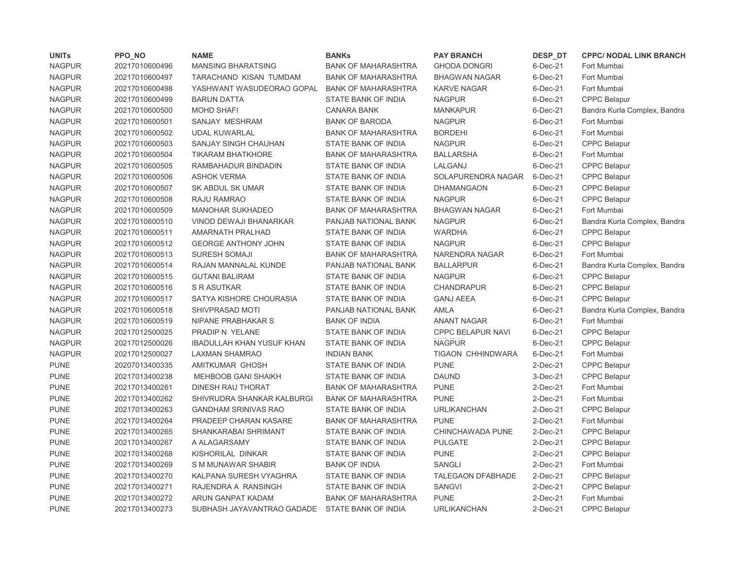| <b>UNITs</b>  | PPO_NO         | <b>NAME</b>                      | <b>BANKs</b>               | <b>PAY BRANCH</b>        | DESP_DT        | <b>CPPC/ NODAL LINK BRANCH</b> |
|---------------|----------------|----------------------------------|----------------------------|--------------------------|----------------|--------------------------------|
| <b>NAGPUR</b> | 20217010600496 | <b>MANSING BHARATSING</b>        | <b>BANK OF MAHARASHTRA</b> | <b>GHODA DONGRI</b>      | $6$ -Dec-21    | Fort Mumbai                    |
| <b>NAGPUR</b> | 20217010600497 | TARACHAND KISAN TUMDAM           | <b>BANK OF MAHARASHTRA</b> | <b>BHAGWAN NAGAR</b>     | $6$ -Dec-21    | Fort Mumbai                    |
| <b>NAGPUR</b> | 20217010600498 | YASHWANT WASUDEORAO GOPAL        | <b>BANK OF MAHARASHTRA</b> | <b>KARVE NAGAR</b>       | 6-Dec-21       | Fort Mumbai                    |
| <b>NAGPUR</b> | 20217010600499 | <b>BARUN DATTA</b>               | <b>STATE BANK OF INDIA</b> | <b>NAGPUR</b>            | 6-Dec-21       | <b>CPPC Belapur</b>            |
| <b>NAGPUR</b> | 20217010600500 | <b>MOHD SHAFI</b>                | <b>CANARA BANK</b>         | <b>MANKAPUR</b>          | 6-Dec-21       | Bandra Kurla Complex, Bandra   |
| <b>NAGPUR</b> | 20217010600501 | SANJAY MESHRAM                   | <b>BANK OF BARODA</b>      | <b>NAGPUR</b>            | 6-Dec-21       | Fort Mumbai                    |
| <b>NAGPUR</b> | 20217010600502 | <b>UDAL KUWARLAL</b>             | <b>BANK OF MAHARASHTRA</b> | <b>BORDEHI</b>           | 6-Dec-21       | Fort Mumbai                    |
| <b>NAGPUR</b> | 20217010600503 | SANJAY SINGH CHAUHAN             | <b>STATE BANK OF INDIA</b> | <b>NAGPUR</b>            | $6$ -Dec-21    | <b>CPPC Belapur</b>            |
| <b>NAGPUR</b> | 20217010600504 | <b>TIKARAM BHATKHORE</b>         | <b>BANK OF MAHARASHTRA</b> | <b>BALLARSHA</b>         | $6$ -Dec-21    | Fort Mumbai                    |
| <b>NAGPUR</b> | 20217010600505 | RAMBAHADUR BINDADIN              | STATE BANK OF INDIA        | LALGANJ                  | 6-Dec-21       | <b>CPPC Belapur</b>            |
| <b>NAGPUR</b> | 20217010600506 | <b>ASHOK VERMA</b>               | STATE BANK OF INDIA        | SOLAPURENDRA NAGAR       | 6-Dec-21       | CPPC Belapur                   |
| <b>NAGPUR</b> | 20217010600507 | SK ABDUL SK UMAR                 | STATE BANK OF INDIA        | <b>DHAMANGAON</b>        | 6-Dec-21       | <b>CPPC Belapur</b>            |
| <b>NAGPUR</b> | 20217010600508 | RAJU RAMRAO                      | STATE BANK OF INDIA        | <b>NAGPUR</b>            | 6-Dec-21       | <b>CPPC Belapur</b>            |
| <b>NAGPUR</b> | 20217010600509 | <b>MANOHAR SUKHADEO</b>          | <b>BANK OF MAHARASHTRA</b> | <b>BHAGWAN NAGAR</b>     | 6-Dec-21       | Fort Mumbai                    |
| <b>NAGPUR</b> | 20217010600510 | VINOD DEWAJI BHANARKAR           | PANJAB NATIONAL BANK       | <b>NAGPUR</b>            | 6-Dec-21       | Bandra Kurla Complex, Bandra   |
| <b>NAGPUR</b> | 20217010600511 | AMARNATH PRALHAD                 | STATE BANK OF INDIA        | <b>WARDHA</b>            | 6-Dec-21       | <b>CPPC Belapur</b>            |
| <b>NAGPUR</b> | 20217010600512 | <b>GEORGE ANTHONY JOHN</b>       | STATE BANK OF INDIA        | <b>NAGPUR</b>            | 6-Dec-21       | <b>CPPC Belapur</b>            |
| <b>NAGPUR</b> | 20217010600513 | <b>SURESH SOMAJI</b>             | <b>BANK OF MAHARASHTRA</b> | NARENDRA NAGAR           | 6-Dec-21       | Fort Mumbai                    |
| <b>NAGPUR</b> | 20217010600514 | RAJAN MANNALAL KUNDE             | PANJAB NATIONAL BANK       | <b>BALLARPUR</b>         | 6-Dec-21       | Bandra Kurla Complex, Bandra   |
| <b>NAGPUR</b> | 20217010600515 | <b>GUTANI BALIRAM</b>            | STATE BANK OF INDIA        | <b>NAGPUR</b>            | 6-Dec-21       | <b>CPPC Belapur</b>            |
| <b>NAGPUR</b> | 20217010600516 | S R ASUTKAR                      | STATE BANK OF INDIA        | <b>CHANDRAPUR</b>        | 6-Dec-21       | <b>CPPC Belapur</b>            |
| <b>NAGPUR</b> | 20217010600517 | SATYA KISHORE CHOURASIA          | STATE BANK OF INDIA        | <b>GANJ AEEA</b>         | 6-Dec-21       | <b>CPPC Belapur</b>            |
| <b>NAGPUR</b> | 20217010600518 | SHIVPRASAD MOTI                  | PANJAB NATIONAL BANK       | <b>AMLA</b>              | 6-Dec-21       | Bandra Kurla Complex, Bandra   |
| <b>NAGPUR</b> | 20217010600519 | NIPANE PRABHAKAR S               | <b>BANK OF INDIA</b>       | <b>ANANT NAGAR</b>       | 6-Dec-21       | Fort Mumbai                    |
| <b>NAGPUR</b> | 20217012500025 | PRADIP N YELANE                  | STATE BANK OF INDIA        | <b>CPPC BELAPUR NAVI</b> | 6-Dec-21       | <b>CPPC Belapur</b>            |
| <b>NAGPUR</b> | 20217012500026 | <b>IBADULLAH KHAN YUSUF KHAN</b> | STATE BANK OF INDIA        | <b>NAGPUR</b>            | $6$ -Dec-21    | <b>CPPC Belapur</b>            |
| <b>NAGPUR</b> | 20217012500027 | LAXMAN SHAMRAO                   | <b>INDIAN BANK</b>         | <b>TIGAON CHHINDWARA</b> | 6-Dec-21       | Fort Mumbai                    |
| <b>PUNE</b>   | 20207013400335 | AMITKUMAR GHOSH                  | STATE BANK OF INDIA        | <b>PUNE</b>              | 2-Dec-21       | CPPC Belapur                   |
| <b>PUNE</b>   | 20217013400238 | MEHBOOB GANI SHAIKH              | STATE BANK OF INDIA        | <b>DAUND</b>             | 3-Dec-21       | <b>CPPC Belapur</b>            |
| <b>PUNE</b>   | 20217013400261 | DINESH RAU THORAT                | <b>BANK OF MAHARASHTRA</b> | <b>PUNE</b>              | $2$ -Dec-21    | Fort Mumbai                    |
| <b>PUNE</b>   | 20217013400262 | SHIVRUDRA SHANKAR KALBURGI       | <b>BANK OF MAHARASHTRA</b> | <b>PUNE</b>              | $2-Dec-21$     | Fort Mumbai                    |
| <b>PUNE</b>   | 20217013400263 | <b>GANDHAM SRINIVAS RAO</b>      | STATE BANK OF INDIA        | <b>URLIKANCHAN</b>       | $2-Dec-21$     | <b>CPPC Belapur</b>            |
| <b>PUNE</b>   | 20217013400264 | PRADEEP CHARAN KASARE            | <b>BANK OF MAHARASHTRA</b> | <b>PUNE</b>              | $2-Dec-21$     | Fort Mumbai                    |
| <b>PUNE</b>   | 20217013400265 | SHANKARABAI SHRIMANT             | <b>STATE BANK OF INDIA</b> | CHINCHAWADA PUNE         | $2$ -Dec- $21$ | <b>CPPC Belapur</b>            |
| <b>PUNE</b>   | 20217013400267 | A ALAGARSAMY                     | STATE BANK OF INDIA        | <b>PULGATE</b>           | $2$ -Dec-21    | <b>CPPC Belapur</b>            |
| <b>PUNE</b>   | 20217013400268 | KISHORILAL DINKAR                | STATE BANK OF INDIA        | <b>PUNE</b>              | $2-Dec-21$     | <b>CPPC Belapur</b>            |
| <b>PUNE</b>   | 20217013400269 | S M MUNAWAR SHABIR               | <b>BANK OF INDIA</b>       | SANGLI                   | $2$ -Dec- $21$ | Fort Mumbai                    |
| <b>PUNE</b>   | 20217013400270 | KALPANA SURESH VYAGHRA           | STATE BANK OF INDIA        | TALEGAON DFABHADE        | $2-Dec-21$     | <b>CPPC Belapur</b>            |
| <b>PUNE</b>   | 20217013400271 | RAJENDRA A RANSINGH              | STATE BANK OF INDIA        | <b>SANGVI</b>            | $2-Dec-21$     | <b>CPPC Belapur</b>            |
| <b>PUNE</b>   | 20217013400272 | <b>ARUN GANPAT KADAM</b>         | <b>BANK OF MAHARASHTRA</b> | <b>PUNE</b>              | $2-Dec-21$     | Fort Mumbai                    |
| <b>PUNE</b>   | 20217013400273 | SUBHASH JAYAVANTRAO GADADE       | STATE BANK OF INDIA        | <b>URLIKANCHAN</b>       | $2$ -Dec-21    | <b>CPPC Belapur</b>            |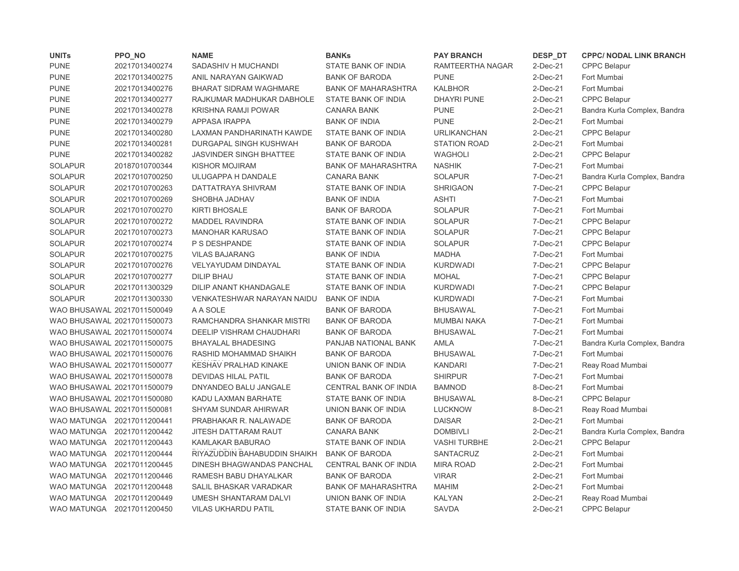| <b>UNITs</b>                | PPO_NO         | <b>NAME</b>                     | <b>BANKs</b>               | <b>PAY BRANCH</b>   | DESP_DT     | <b>CPPC/ NODAL LINK BRANCH</b> |
|-----------------------------|----------------|---------------------------------|----------------------------|---------------------|-------------|--------------------------------|
| <b>PUNE</b>                 | 20217013400274 | SADASHIV H MUCHANDI             | STATE BANK OF INDIA        | RAMTEERTHA NAGAR    | $2$ -Dec-21 | <b>CPPC Belapur</b>            |
| <b>PUNE</b>                 | 20217013400275 | ANIL NARAYAN GAIKWAD            | <b>BANK OF BARODA</b>      | <b>PUNE</b>         | $2$ -Dec-21 | Fort Mumbai                    |
| <b>PUNE</b>                 | 20217013400276 | <b>BHARAT SIDRAM WAGHMARE</b>   | <b>BANK OF MAHARASHTRA</b> | <b>KALBHOR</b>      | $2$ -Dec-21 | Fort Mumbai                    |
| <b>PUNE</b>                 | 20217013400277 | RAJKUMAR MADHUKAR DABHOLE       | STATE BANK OF INDIA        | <b>DHAYRI PUNE</b>  | 2-Dec-21    | <b>CPPC Belapur</b>            |
| <b>PUNE</b>                 | 20217013400278 | <b>KRISHNA RAMJI POWAR</b>      | <b>CANARA BANK</b>         | <b>PUNE</b>         | 2-Dec-21    | Bandra Kurla Complex, Bandra   |
| <b>PUNE</b>                 | 20217013400279 | APPASA IRAPPA                   | <b>BANK OF INDIA</b>       | <b>PUNE</b>         | 2-Dec-21    | Fort Mumbai                    |
| <b>PUNE</b>                 | 20217013400280 | LAXMAN PANDHARINATH KAWDE       | STATE BANK OF INDIA        | <b>URLIKANCHAN</b>  | $2$ -Dec-21 | <b>CPPC Belapur</b>            |
| <b>PUNE</b>                 | 20217013400281 | DURGAPAL SINGH KUSHWAH          | <b>BANK OF BARODA</b>      | <b>STATION ROAD</b> | $2-Dec-21$  | Fort Mumbai                    |
| <b>PUNE</b>                 | 20217013400282 | <b>JASVINDER SINGH BHATTEE</b>  | STATE BANK OF INDIA        | <b>WAGHOLI</b>      | 2-Dec-21    | <b>CPPC Belapur</b>            |
| <b>SOLAPUR</b>              | 20187010700344 | KISHOR MOJIRAM                  | <b>BANK OF MAHARASHTRA</b> | <b>NASHIK</b>       | 7-Dec-21    | Fort Mumbai                    |
| <b>SOLAPUR</b>              | 20217010700250 | ULUGAPPA H DANDALE              | <b>CANARA BANK</b>         | <b>SOLAPUR</b>      | 7-Dec-21    | Bandra Kurla Complex, Bandra   |
| <b>SOLAPUR</b>              | 20217010700263 | DATTATRAYA SHIVRAM              | STATE BANK OF INDIA        | <b>SHRIGAON</b>     | 7-Dec-21    | <b>CPPC Belapur</b>            |
| <b>SOLAPUR</b>              | 20217010700269 | SHOBHA JADHAV                   | <b>BANK OF INDIA</b>       | <b>ASHTI</b>        | 7-Dec-21    | Fort Mumbai                    |
| <b>SOLAPUR</b>              | 20217010700270 | <b>KIRTI BHOSALE</b>            | <b>BANK OF BARODA</b>      | <b>SOLAPUR</b>      | 7-Dec-21    | Fort Mumbai                    |
| <b>SOLAPUR</b>              | 20217010700272 | <b>MADDEL RAVINDRA</b>          | STATE BANK OF INDIA        | <b>SOLAPUR</b>      | 7-Dec-21    | <b>CPPC Belapur</b>            |
| <b>SOLAPUR</b>              | 20217010700273 | <b>MANOHAR KARUSAO</b>          | STATE BANK OF INDIA        | <b>SOLAPUR</b>      | 7-Dec-21    | <b>CPPC Belapur</b>            |
| <b>SOLAPUR</b>              | 20217010700274 | P S DESHPANDE                   | STATE BANK OF INDIA        | <b>SOLAPUR</b>      | 7-Dec-21    | <b>CPPC Belapur</b>            |
| <b>SOLAPUR</b>              | 20217010700275 | <b>VILAS BAJARANG</b>           | <b>BANK OF INDIA</b>       | <b>MADHA</b>        | 7-Dec-21    | Fort Mumbai                    |
| <b>SOLAPUR</b>              | 20217010700276 | VELYAYUDAM DINDAYAL             | STATE BANK OF INDIA        | <b>KURDWADI</b>     | 7-Dec-21    | <b>CPPC Belapur</b>            |
| <b>SOLAPUR</b>              | 20217010700277 | <b>DILIP BHAU</b>               | STATE BANK OF INDIA        | <b>MOHAL</b>        | 7-Dec-21    | <b>CPPC Belapur</b>            |
| <b>SOLAPUR</b>              | 20217011300329 | DILIP ANANT KHANDAGALE          | STATE BANK OF INDIA        | <b>KURDWADI</b>     | 7-Dec-21    | <b>CPPC Belapur</b>            |
| <b>SOLAPUR</b>              | 20217011300330 | VENKATESHWAR NARAYAN NAIDU      | <b>BANK OF INDIA</b>       | <b>KURDWADI</b>     | 7-Dec-21    | Fort Mumbai                    |
| WAO BHUSAWAL 20217011500049 |                | A A SOLE                        | <b>BANK OF BARODA</b>      | <b>BHUSAWAL</b>     | 7-Dec-21    | Fort Mumbai                    |
| WAO BHUSAWAL 20217011500073 |                | RAMCHANDRA SHANKAR MISTRI       | <b>BANK OF BARODA</b>      | <b>MUMBAI NAKA</b>  | 7-Dec-21    | Fort Mumbai                    |
| WAO BHUSAWAL 20217011500074 |                | <b>DEELIP VISHRAM CHAUDHARI</b> | <b>BANK OF BARODA</b>      | <b>BHUSAWAL</b>     | 7-Dec-21    | Fort Mumbai                    |
| WAO BHUSAWAL 20217011500075 |                | <b>BHAYALAL BHADESING</b>       | PANJAB NATIONAL BANK       | <b>AMLA</b>         | 7-Dec-21    | Bandra Kurla Complex, Bandra   |
| WAO BHUSAWAL 20217011500076 |                | RASHID MOHAMMAD SHAIKH          | <b>BANK OF BARODA</b>      | <b>BHUSAWAL</b>     | 7-Dec-21    | Fort Mumbai                    |
| WAO BHUSAWAL 20217011500077 |                | KESHAV PRALHAD KINAKE           | UNION BANK OF INDIA        | <b>KANDARI</b>      | 7-Dec-21    | Reay Road Mumbai               |
| WAO BHUSAWAL 20217011500078 |                | <b>DEVIDAS HILAL PATIL</b>      | <b>BANK OF BARODA</b>      | <b>SHIRPUR</b>      | 7-Dec-21    | Fort Mumbai                    |
| WAO BHUSAWAL 20217011500079 |                | DNYANDEO BALU JANGALE           | CENTRAL BANK OF INDIA      | <b>BAMNOD</b>       | 8-Dec-21    | Fort Mumbai                    |
| WAO BHUSAWAL 20217011500080 |                | KADU LAXMAN BARHATE             | STATE BANK OF INDIA        | <b>BHUSAWAL</b>     | 8-Dec-21    | <b>CPPC Belapur</b>            |
| WAO BHUSAWAL 20217011500081 |                | SHYAM SUNDAR AHIRWAR            | UNION BANK OF INDIA        | <b>LUCKNOW</b>      | 8-Dec-21    | Reay Road Mumbai               |
| WAO MATUNGA 20217011200441  |                | PRABHAKAR R. NALAWADE           | <b>BANK OF BARODA</b>      | <b>DAISAR</b>       | $2-Dec-21$  | Fort Mumbai                    |
| WAO MATUNGA 20217011200442  |                | JITESH DATTARAM RAUT            | <b>CANARA BANK</b>         | <b>DOMBIVLI</b>     | $2-Dec-21$  | Bandra Kurla Complex, Bandra   |
| WAO MATUNGA 20217011200443  |                | KAMLAKAR BABURAO                | STATE BANK OF INDIA        | <b>VASHI TURBHE</b> | $2-Dec-21$  | <b>CPPC Belapur</b>            |
| WAO MATUNGA 20217011200444  |                | RIYAZUDDIN BAHABUDDIN SHAIKH    | <b>BANK OF BARODA</b>      | SANTACRUZ           | 2-Dec-21    | Fort Mumbai                    |
| WAO MATUNGA 20217011200445  |                | DINESH BHAGWANDAS PANCHAL       | CENTRAL BANK OF INDIA      | <b>MIRA ROAD</b>    | 2-Dec-21    | Fort Mumbai                    |
| WAO MATUNGA                 | 20217011200446 | RAMESH BABU DHAYALKAR           | <b>BANK OF BARODA</b>      | <b>VIRAR</b>        | $2-Dec-21$  | Fort Mumbai                    |
| <b>WAO MATUNGA</b>          | 20217011200448 | SALIL BHASKAR VARADKAR          | <b>BANK OF MAHARASHTRA</b> | <b>MAHIM</b>        | $2-Dec-21$  | Fort Mumbai                    |
| WAO MATUNGA                 | 20217011200449 | UMESH SHANTARAM DALVI           | UNION BANK OF INDIA        | <b>KALYAN</b>       | $2-Dec-21$  | Reay Road Mumbai               |
| WAO MATUNGA 20217011200450  |                | <b>VILAS UKHARDU PATIL</b>      | STATE BANK OF INDIA        | <b>SAVDA</b>        | $2-Dec-21$  | <b>CPPC Belapur</b>            |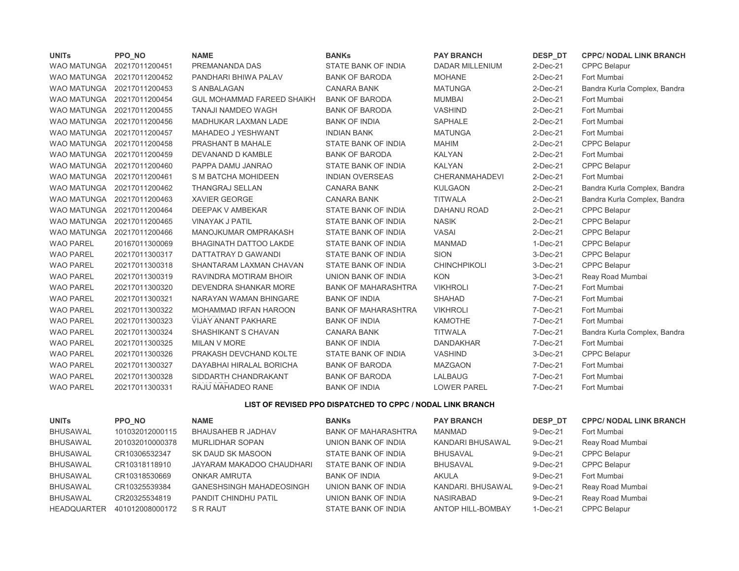| <b>UNITS</b>       | PPO NO         | <b>NAME</b>                       | <b>BANKs</b>               | <b>PAY BRANCH</b>      | DESP DT        | <b>CPPC/ NODAL LINK BRANCH</b> |
|--------------------|----------------|-----------------------------------|----------------------------|------------------------|----------------|--------------------------------|
| <b>WAO MATUNGA</b> | 20217011200451 | PREMANANDA DAS                    | <b>STATE BANK OF INDIA</b> | <b>DADAR MILLENIUM</b> | $2$ -Dec-21    | <b>CPPC Belapur</b>            |
| <b>WAO MATUNGA</b> | 20217011200452 | PANDHARI BHIWA PALAV              | <b>BANK OF BARODA</b>      | <b>MOHANE</b>          | 2-Dec-21       | Fort Mumbai                    |
| <b>WAO MATUNGA</b> | 20217011200453 | S ANBALAGAN                       | <b>CANARA BANK</b>         | <b>MATUNGA</b>         | 2-Dec-21       | Bandra Kurla Complex, Bandra   |
| <b>WAO MATUNGA</b> | 20217011200454 | <b>GUL MOHAMMAD FAREED SHAIKH</b> | <b>BANK OF BARODA</b>      | <b>MUMBAI</b>          | 2-Dec-21       | Fort Mumbai                    |
| <b>WAO MATUNGA</b> | 20217011200455 | <b>TANAJI NAMDEO WAGH</b>         | <b>BANK OF BARODA</b>      | <b>VASHIND</b>         | 2-Dec-21       | Fort Mumbai                    |
| <b>WAO MATUNGA</b> | 20217011200456 | MADHUKAR LAXMAN LADE              | <b>BANK OF INDIA</b>       | <b>SAPHALE</b>         | 2-Dec-21       | Fort Mumbai                    |
| <b>WAO MATUNGA</b> | 20217011200457 | <b>MAHADEO J YESHWANT</b>         | <b>INDIAN BANK</b>         | <b>MATUNGA</b>         | 2-Dec-21       | Fort Mumbai                    |
| <b>WAO MATUNGA</b> | 20217011200458 | <b>PRASHANT B MAHALE</b>          | STATE BANK OF INDIA        | <b>MAHIM</b>           | 2-Dec-21       | <b>CPPC Belapur</b>            |
| <b>WAO MATUNGA</b> | 20217011200459 | DEVANAND D KAMBLE                 | <b>BANK OF BARODA</b>      | <b>KALYAN</b>          | 2-Dec-21       | Fort Mumbai                    |
| <b>WAO MATUNGA</b> | 20217011200460 | PAPPA DAMU JANRAO                 | STATE BANK OF INDIA        | <b>KALYAN</b>          | 2-Dec-21       | <b>CPPC Belapur</b>            |
| <b>WAO MATUNGA</b> | 20217011200461 | S M BATCHA MOHIDEEN               | <b>INDIAN OVERSEAS</b>     | <b>CHERANMAHADEVI</b>  | 2-Dec-21       | Fort Mumbai                    |
| <b>WAO MATUNGA</b> | 20217011200462 | <b>THANGRAJ SELLAN</b>            | <b>CANARA BANK</b>         | <b>KULGAON</b>         | 2-Dec-21       | Bandra Kurla Complex, Bandra   |
| <b>WAO MATUNGA</b> | 20217011200463 | <b>XAVIER GEORGE</b>              | <b>CANARA BANK</b>         | <b>TITWALA</b>         | 2-Dec-21       | Bandra Kurla Complex, Bandra   |
| <b>WAO MATUNGA</b> | 20217011200464 | DEEPAK V AMBEKAR                  | STATE BANK OF INDIA        | DAHANU ROAD            | 2-Dec-21       | <b>CPPC Belapur</b>            |
| <b>WAO MATUNGA</b> | 20217011200465 | <b>VINAYAK J PATIL</b>            | <b>STATE BANK OF INDIA</b> | <b>NASIK</b>           | 2-Dec-21       | <b>CPPC Belapur</b>            |
| <b>WAO MATUNGA</b> | 20217011200466 | <b>MANOJKUMAR OMPRAKASH</b>       | <b>STATE BANK OF INDIA</b> | <b>VASAI</b>           | $2$ -Dec- $21$ | <b>CPPC Belapur</b>            |
| <b>WAO PAREL</b>   | 20167011300069 | <b>BHAGINATH DATTOO LAKDE</b>     | <b>STATE BANK OF INDIA</b> | <b>MANMAD</b>          | 1-Dec-21       | <b>CPPC Belapur</b>            |
| <b>WAO PAREL</b>   | 20217011300317 | DATTATRAY D GAWANDI               | STATE BANK OF INDIA        | <b>SION</b>            | 3-Dec-21       | CPPC Belapur                   |
| <b>WAO PAREL</b>   | 20217011300318 | SHANTARAM LAXMAN CHAVAN           | <b>STATE BANK OF INDIA</b> | <b>CHINCHPIKOLI</b>    | 3-Dec-21       | <b>CPPC Belapur</b>            |
| <b>WAO PAREL</b>   | 20217011300319 | RAVINDRA MOTIRAM BHOIR            | UNION BANK OF INDIA        | <b>KON</b>             | 3-Dec-21       | Reay Road Mumbai               |
| <b>WAO PAREL</b>   | 20217011300320 | DEVENDRA SHANKAR MORE             | <b>BANK OF MAHARASHTRA</b> | <b>VIKHROLI</b>        | 7-Dec-21       | Fort Mumbai                    |
| <b>WAO PAREL</b>   | 20217011300321 | NARAYAN WAMAN BHINGARE            | <b>BANK OF INDIA</b>       | <b>SHAHAD</b>          | 7-Dec-21       | Fort Mumbai                    |
| <b>WAO PAREL</b>   | 20217011300322 | <b>MOHAMMAD IRFAN HAROON</b>      | <b>BANK OF MAHARASHTRA</b> | <b>VIKHROLI</b>        | 7-Dec-21       | Fort Mumbai                    |
| <b>WAO PAREL</b>   | 20217011300323 | <b>VIJAY ANANT PAKHARE</b>        | <b>BANK OF INDIA</b>       | <b>KAMOTHE</b>         | 7-Dec-21       | Fort Mumbai                    |
| <b>WAO PAREL</b>   | 20217011300324 | SHASHIKANT S CHAVAN               | <b>CANARA BANK</b>         | <b>TITWALA</b>         | 7-Dec-21       | Bandra Kurla Complex, Bandra   |
| <b>WAO PAREL</b>   | 20217011300325 | MILAN V MORE                      | <b>BANK OF INDIA</b>       | <b>DANDAKHAR</b>       | 7-Dec-21       | Fort Mumbai                    |
| <b>WAO PAREL</b>   | 20217011300326 | PRAKASH DEVCHAND KOLTE            | <b>STATE BANK OF INDIA</b> | <b>VASHIND</b>         | 3-Dec-21       | <b>CPPC Belapur</b>            |
| <b>WAO PAREL</b>   | 20217011300327 | DAYABHAI HIRALAL BORICHA          | <b>BANK OF BARODA</b>      | <b>MAZGAON</b>         | 7-Dec-21       | Fort Mumbai                    |
| <b>WAO PAREL</b>   | 20217011300328 | SIDDARTH CHANDRAKANT              | <b>BANK OF BARODA</b>      | LALBAUG                | 7-Dec-21       | Fort Mumbai                    |
| <b>WAO PAREL</b>   | 20217011300331 | RAJU MAHADEO RANE                 | <b>BANK OF INDIA</b>       | <b>LOWER PAREL</b>     | 7-Dec-21       | Fort Mumbai                    |
|                    |                |                                   |                            |                        |                |                                |

## LIST OF REVISED PPO DISPATCHED TO CPPC / NODAL LINK BRANCH

| <b>UNITS</b>       | PPO NO          | <b>NAME</b>                     | <b>BANKS</b>               | <b>PAY BRANCH</b>        | <b>DESP DT</b> | <b>CPPC/ NODAL LINK BRANCH</b> |
|--------------------|-----------------|---------------------------------|----------------------------|--------------------------|----------------|--------------------------------|
| <b>BHUSAWAL</b>    | 101032012000115 | <b>BHAUSAHEB R JADHAV</b>       | <b>BANK OF MAHARASHTRA</b> | MANMAD                   | 9-Dec-21       | Fort Mumbai                    |
| <b>BHUSAWAL</b>    | 201032010000378 | MURLIDHAR SOPAN                 | UNION BANK OF INDIA        | KANDARI BHUSAWAL         | 9-Dec-21       | Reay Road Mumbai               |
| <b>BHUSAWAL</b>    | CR10306532347   | SK DAUD SK MASOON               | STATE BANK OF INDIA        | <b>BHUSAVAL</b>          | 9-Dec-21       | <b>CPPC Belapur</b>            |
| <b>BHUSAWAL</b>    | CR10318118910   | JAYARAM MAKADOO CHAUDHARI       | STATE BANK OF INDIA        | <b>BHUSAVAL</b>          | 9-Dec-21       | <b>CPPC Belapur</b>            |
| <b>BHUSAWAL</b>    | CR10318530669   | <b>ONKAR AMRUTA</b>             | <b>BANK OF INDIA</b>       | <b>AKULA</b>             | 9-Dec-21       | Fort Mumbai                    |
| <b>BHUSAWAL</b>    | CR10325539384   | <b>GANESHSINGH MAHADEOSINGH</b> | UNION BANK OF INDIA        | KANDARI, BHUSAWAL        | 9-Dec-21       | Reay Road Mumbai               |
| <b>BHUSAWAL</b>    | CR20325534819   | PANDIT CHINDHU PATIL            | UNION BANK OF INDIA        | <b>NASIRABAD</b>         | 9-Dec-21       | Reay Road Mumbai               |
| <b>HEADQUARTER</b> | 401012008000172 | S R RAUT                        | STATE BANK OF INDIA        | <b>ANTOP HILL-BOMBAY</b> | $1-Dec-21$     | <b>CPPC Belapur</b>            |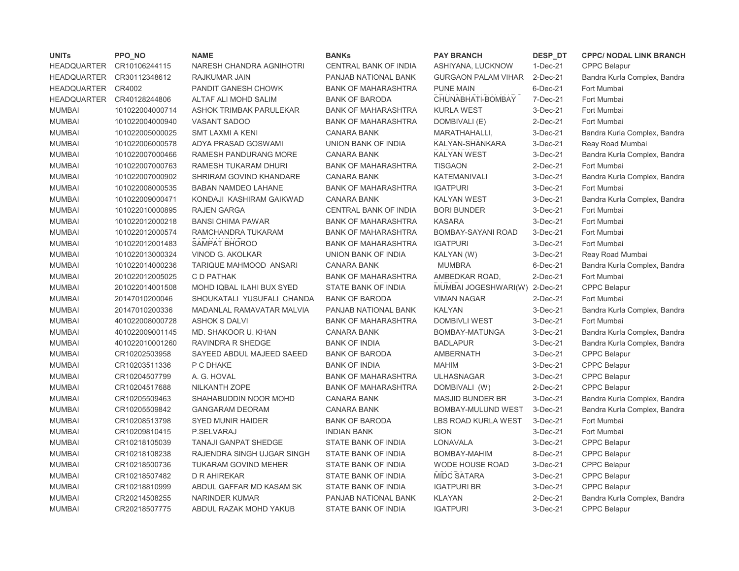| <b>UNITs</b>       | PPO_NO          | <b>NAME</b>                 | <b>BANKs</b>               | <b>PAY BRANCH</b>             | DESP_DT    | <b>CPPC/ NODAL LINK BRANCH</b> |
|--------------------|-----------------|-----------------------------|----------------------------|-------------------------------|------------|--------------------------------|
| <b>HEADQUARTER</b> | CR10106244115   | NARESH CHANDRA AGNIHOTRI    | CENTRAL BANK OF INDIA      | ASHIYANA, LUCKNOW             | $1-Dec-21$ | <b>CPPC Belapur</b>            |
| <b>HEADQUARTER</b> | CR30112348612   | RAJKUMAR JAIN               | PANJAB NATIONAL BANK       | <b>GURGAON PALAM VIHAR</b>    | 2-Dec-21   | Bandra Kurla Complex, Bandra   |
| <b>HEADQUARTER</b> | CR4002          | PANDIT GANESH CHOWK         | <b>BANK OF MAHARASHTRA</b> | <b>PUNE MAIN</b>              | 6-Dec-21   | Fort Mumbai                    |
| <b>HEADQUARTER</b> | CR40128244806   | ALTAF ALI MOHD SALIM        | <b>BANK OF BARODA</b>      | CHUNABHATI-BOMBAY             | 7-Dec-21   | Fort Mumbai                    |
| <b>MUMBAI</b>      | 101022004000714 | ASHOK TRIMBAK PARULEKAR     | <b>BANK OF MAHARASHTRA</b> | <b>KURLA WEST</b>             | 3-Dec-21   | Fort Mumbai                    |
| <b>MUMBAI</b>      | 101022004000940 | <b>VASANT SADOO</b>         | <b>BANK OF MAHARASHTRA</b> | DOMBIVALI (E)                 | $2-Dec-21$ | Fort Mumbai                    |
| <b>MUMBAI</b>      | 101022005000025 | <b>SMT LAXMI A KENI</b>     | <b>CANARA BANK</b>         | MARATHAHALLI,                 | 3-Dec-21   | Bandra Kurla Complex, Bandra   |
| <b>MUMBAI</b>      | 101022006000578 | ADYA PRASAD GOSWAMI         | UNION BANK OF INDIA        | KALYAN-SHANKARA               | 3-Dec-21   | Reay Road Mumbai               |
| <b>MUMBAI</b>      | 101022007000466 | RAMESH PANDURANG MORE       | <b>CANARA BANK</b>         | <b>KALYAN WEST</b>            | 3-Dec-21   | Bandra Kurla Complex, Bandra   |
| <b>MUMBAI</b>      | 101022007000763 | RAMESH TUKARAM DHURI        | <b>BANK OF MAHARASHTRA</b> | <b>TISGAON</b>                | 2-Dec-21   | Fort Mumbai                    |
| <b>MUMBAI</b>      | 101022007000902 | SHRIRAM GOVIND KHANDARE     | <b>CANARA BANK</b>         | KATEMANIVALI                  | 3-Dec-21   | Bandra Kurla Complex, Bandra   |
| <b>MUMBAI</b>      | 101022008000535 | <b>BABAN NAMDEO LAHANE</b>  | <b>BANK OF MAHARASHTRA</b> | <b>IGATPURI</b>               | 3-Dec-21   | Fort Mumbai                    |
| <b>MUMBAI</b>      | 101022009000471 | KONDAJI KASHIRAM GAIKWAD    | <b>CANARA BANK</b>         | <b>KALYAN WEST</b>            | 3-Dec-21   | Bandra Kurla Complex, Bandra   |
| <b>MUMBAI</b>      | 101022010000895 | <b>RAJEN GARGA</b>          | CENTRAL BANK OF INDIA      | <b>BORI BUNDER</b>            | 3-Dec-21   | Fort Mumbai                    |
| <b>MUMBAI</b>      | 101022012000218 | <b>BANSI CHIMA PAWAR</b>    | <b>BANK OF MAHARASHTRA</b> | <b>KASARA</b>                 | 3-Dec-21   | Fort Mumbai                    |
| <b>MUMBAI</b>      | 101022012000574 | RAMCHANDRA TUKARAM          | <b>BANK OF MAHARASHTRA</b> | BOMBAY-SAYANI ROAD            | 3-Dec-21   | Fort Mumbai                    |
| <b>MUMBAI</b>      | 101022012001483 | SAMPAT BHOROO               | <b>BANK OF MAHARASHTRA</b> | <b>IGATPURI</b>               | 3-Dec-21   | Fort Mumbai                    |
| <b>MUMBAI</b>      | 101022013000324 | VINOD G. AKOLKAR            | UNION BANK OF INDIA        | KALYAN (W)                    | 3-Dec-21   | Reay Road Mumbai               |
| <b>MUMBAI</b>      | 101022014000236 | TARIQUE MAHMOOD ANSARI      | <b>CANARA BANK</b>         | <b>MUMBRA</b>                 | 6-Dec-21   | Bandra Kurla Complex, Bandra   |
| <b>MUMBAI</b>      | 201022012005025 | C D PATHAK                  | <b>BANK OF MAHARASHTRA</b> | AMBEDKAR ROAD,                | $2-Dec-21$ | Fort Mumbai                    |
| <b>MUMBAI</b>      | 201022014001508 | MOHD IQBAL ILAHI BUX SYED   | <b>STATE BANK OF INDIA</b> | MUMBAI JOGESHWARI(W) 2-Dec-21 |            | <b>CPPC Belapur</b>            |
| <b>MUMBAI</b>      | 20147010200046  | SHOUKATALI YUSUFALI CHANDA  | <b>BANK OF BARODA</b>      | <b>VIMAN NAGAR</b>            | 2-Dec-21   | Fort Mumbai                    |
| <b>MUMBAI</b>      | 20147010200336  | MADANLAL RAMAVATAR MALVIA   | PANJAB NATIONAL BANK       | <b>KALYAN</b>                 | 3-Dec-21   | Bandra Kurla Complex, Bandra   |
| <b>MUMBAI</b>      | 401022008000728 | <b>ASHOK S DALVI</b>        | <b>BANK OF MAHARASHTRA</b> | <b>DOMBIVLI WEST</b>          | 3-Dec-21   | Fort Mumbai                    |
| <b>MUMBAI</b>      | 401022009001145 | MD. SHAKOOR U. KHAN         | <b>CANARA BANK</b>         | BOMBAY-MATUNGA                | 3-Dec-21   | Bandra Kurla Complex, Bandra   |
| <b>MUMBAI</b>      | 401022010001260 | <b>RAVINDRA R SHEDGE</b>    | <b>BANK OF INDIA</b>       | <b>BADLAPUR</b>               | 3-Dec-21   | Bandra Kurla Complex, Bandra   |
| <b>MUMBAI</b>      | CR10202503958   | SAYEED ABDUL MAJEED SAEED   | <b>BANK OF BARODA</b>      | <b>AMBERNATH</b>              | 3-Dec-21   | <b>CPPC Belapur</b>            |
| <b>MUMBAI</b>      | CR10203511336   | P C DHAKE                   | <b>BANK OF INDIA</b>       | <b>MAHIM</b>                  | 3-Dec-21   | <b>CPPC Belapur</b>            |
| <b>MUMBAI</b>      | CR10204507799   | A. G. HOVAL                 | <b>BANK OF MAHARASHTRA</b> | <b>ULHASNAGAR</b>             | 3-Dec-21   | <b>CPPC Belapur</b>            |
| <b>MUMBAI</b>      | CR10204517688   | <b>NILKANTH ZOPE</b>        | BANK OF MAHARASHTRA        | DOMBIVALI (W)                 | 2-Dec-21   | <b>CPPC Belapur</b>            |
| <b>MUMBAI</b>      | CR10205509463   | SHAHABUDDIN NOOR MOHD       | <b>CANARA BANK</b>         | <b>MASJID BUNDER BR</b>       | 3-Dec-21   | Bandra Kurla Complex, Bandra   |
| <b>MUMBAI</b>      | CR10205509842   | <b>GANGARAM DEORAM</b>      | <b>CANARA BANK</b>         | BOMBAY-MULUND WEST            | 3-Dec-21   | Bandra Kurla Complex, Bandra   |
| <b>MUMBAI</b>      | CR10208513798   | <b>SYED MUNIR HAIDER</b>    | <b>BANK OF BARODA</b>      | LBS ROAD KURLA WEST           | 3-Dec-21   | Fort Mumbai                    |
| <b>MUMBAI</b>      | CR10209810415   | P.SELVARAJ                  | <b>INDIAN BANK</b>         | <b>SION</b>                   | 3-Dec-21   | Fort Mumbai                    |
| <b>MUMBAI</b>      | CR10218105039   | <b>TANAJI GANPAT SHEDGE</b> | STATE BANK OF INDIA        | LONAVALA                      | 3-Dec-21   | <b>CPPC Belapur</b>            |
| <b>MUMBAI</b>      | CR10218108238   | RAJENDRA SINGH UJGAR SINGH  | STATE BANK OF INDIA        | BOMBAY-MAHIM                  | 8-Dec-21   | <b>CPPC Belapur</b>            |
| <b>MUMBAI</b>      | CR10218500736   | <b>TUKARAM GOVIND MEHER</b> | STATE BANK OF INDIA        | <b>WODE HOUSE ROAD</b>        | 3-Dec-21   | <b>CPPC Belapur</b>            |
| <b>MUMBAI</b>      | CR10218507482   | D R AHIREKAR                | STATE BANK OF INDIA        | <b>MIDC SATARA</b>            | 3-Dec-21   | <b>CPPC Belapur</b>            |
| <b>MUMBAI</b>      | CR10218810999   | ABDUL GAFFAR MD KASAM SK    | STATE BANK OF INDIA        | <b>IGATPURI BR</b>            | 3-Dec-21   | <b>CPPC Belapur</b>            |
| <b>MUMBAI</b>      | CR20214508255   | <b>NARINDER KUMAR</b>       | PANJAB NATIONAL BANK       | <b>KLAYAN</b>                 | 2-Dec-21   | Bandra Kurla Complex, Bandra   |
| <b>MUMBAI</b>      | CR20218507775   | ABDUL RAZAK MOHD YAKUB      | <b>STATE BANK OF INDIA</b> | <b>IGATPURI</b>               | 3-Dec-21   | <b>CPPC Belapur</b>            |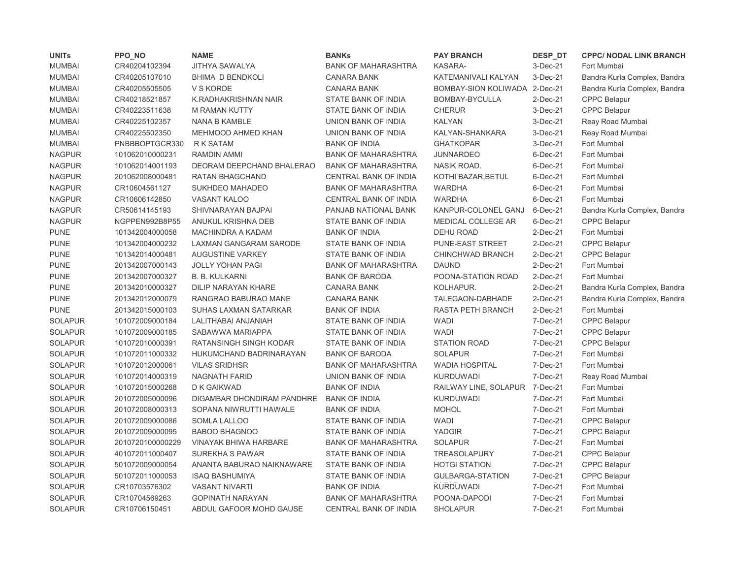| <b>UNITs</b>   | PPO_NO           | <b>NAME</b>                   | <b>BANKs</b>                 | <b>PAY BRANCH</b>             | DESP_DT        | <b>CPPC/ NODAL LINK BRANCH</b> |
|----------------|------------------|-------------------------------|------------------------------|-------------------------------|----------------|--------------------------------|
| <b>MUMBAI</b>  | CR40204102394    | <b>JITHYA SAWALYA</b>         | <b>BANK OF MAHARASHTRA</b>   | <b>KASARA-</b>                | 3-Dec-21       | Fort Mumbai                    |
| <b>MUMBAI</b>  | CR40205107010    | <b>BHIMA D BENDKOLI</b>       | <b>CANARA BANK</b>           | KATEMANIVALI KALYAN           | 3-Dec-21       | Bandra Kurla Complex, Bandra   |
| <b>MUMBAI</b>  | CR40205505505    | V S KORDE                     | <b>CANARA BANK</b>           | BOMBAY-SION KOLIWADA 2-Dec-21 |                | Bandra Kurla Complex, Bandra   |
| <b>MUMBAI</b>  | CR40218521857    | K.RADHAKRISHNAN NAIR          | STATE BANK OF INDIA          | BOMBAY-BYCULLA                | 2-Dec-21       | <b>CPPC Belapur</b>            |
| <b>MUMBAI</b>  | CR40223511638    | <b>M RAMAN KUTTY</b>          | STATE BANK OF INDIA          | <b>CHERUR</b>                 | 3-Dec-21       | <b>CPPC Belapur</b>            |
| <b>MUMBAI</b>  | CR40225102357    | NANA B KAMBLE                 | UNION BANK OF INDIA          | <b>KALYAN</b>                 | 3-Dec-21       | Reay Road Mumbai               |
| <b>MUMBAI</b>  | CR40225502350    | MEHMOOD AHMED KHAN            | UNION BANK OF INDIA          | KALYAN-SHANKARA               | 3-Dec-21       | Reay Road Mumbai               |
| <b>MUMBAI</b>  | PNBBBOPTGCR330   | R K SATAM                     | <b>BANK OF INDIA</b>         | <b>GHATKOPAR</b>              | 3-Dec-21       | Fort Mumbai                    |
| <b>NAGPUR</b>  | 101062010000231  | RAMDIN AMMI                   | <b>BANK OF MAHARASHTRA</b>   | <b>JUNNARDEO</b>              | 6-Dec-21       | Fort Mumbai                    |
| <b>NAGPUR</b>  | 101062014001193  | DEORAM DEEPCHAND BHALERAO     | <b>BANK OF MAHARASHTRA</b>   | NASIK ROAD.                   | 6-Dec-21       | Fort Mumbai                    |
| <b>NAGPUR</b>  | 201062008000481  | RATAN BHAGCHAND               | CENTRAL BANK OF INDIA        | KOTHI BAZAR, BETUL            | 6-Dec-21       | Fort Mumbai                    |
| <b>NAGPUR</b>  | CR10604561127    | SUKHDEO MAHADEO               | <b>BANK OF MAHARASHTRA</b>   | <b>WARDHA</b>                 | $6$ -Dec-21    | Fort Mumbai                    |
| <b>NAGPUR</b>  | CR10606142850    | VASANT KALOO                  | CENTRAL BANK OF INDIA        | WARDHA                        | 6-Dec-21       | Fort Mumbai                    |
| <b>NAGPUR</b>  | CR50614145193    | SHIVNARAYAN BAJPAI            | PANJAB NATIONAL BANK         | KANPUR-COLONEL GANJ           | 6-Dec-21       | Bandra Kurla Complex, Bandra   |
| <b>NAGPUR</b>  | NGPPEN992B8P55   | ANUKUL KRISHNA DEB            | STATE BANK OF INDIA          | MEDICAL COLLEGE AR            | $6$ -Dec-21    | CPPC Belapur                   |
| <b>PUNE</b>    | 101342004000058  | <b>MACHINDRA A KADAM</b>      | <b>BANK OF INDIA</b>         | <b>DEHU ROAD</b>              | 2-Dec-21       | Fort Mumbai                    |
| <b>PUNE</b>    | 101342004000232  | LAXMAN GANGARAM SARODE        | STATE BANK OF INDIA          | PUNE-EAST STREET              | $2-Dec-21$     | <b>CPPC Belapur</b>            |
| <b>PUNE</b>    | 101342014000481  | <b>AUGUSTINE VARKEY</b>       | STATE BANK OF INDIA          | CHINCHWAD BRANCH              | $2$ -Dec- $21$ | <b>CPPC Belapur</b>            |
| <b>PUNE</b>    | 201342007000143  | <b>JOLLY YOHAN PAGI</b>       | <b>BANK OF MAHARASHTRA</b>   | <b>DAUND</b>                  | $2$ -Dec-21    | Fort Mumbai                    |
| <b>PUNE</b>    | 201342007000327  | <b>B. B. KULKARNI</b>         | <b>BANK OF BARODA</b>        | POONA-STATION ROAD            | $2$ -Dec- $21$ | Fort Mumbai                    |
| <b>PUNE</b>    | 201342010000327  | DILIP NARAYAN KHARE           | <b>CANARA BANK</b>           | KOLHAPUR.                     | 2-Dec-21       | Bandra Kurla Complex, Bandra   |
| <b>PUNE</b>    | 201342012000079  | RANGRAO BABURAO MANE          | <b>CANARA BANK</b>           | TALEGAON-DABHADE              | 2-Dec-21       | Bandra Kurla Complex, Bandra   |
| <b>PUNE</b>    | 201342015000103  | SUHAS LAXMAN SATARKAR         | <b>BANK OF INDIA</b>         | RASTA PETH BRANCH             | $2-Dec-21$     | Fort Mumbai                    |
| <b>SOLAPUR</b> | 101072009000184  | LALITHABAI ANJANIAH           | STATE BANK OF INDIA          | <b>WADI</b>                   | 7-Dec-21       | <b>CPPC Belapur</b>            |
| <b>SOLAPUR</b> | 101072009000185  | SABAWWA MARIAPPA              | STATE BANK OF INDIA          | <b>WADI</b>                   | 7-Dec-21       | <b>CPPC Belapur</b>            |
| <b>SOLAPUR</b> | 101072010000391  | <b>RATANSINGH SINGH KODAR</b> | STATE BANK OF INDIA          | <b>STATION ROAD</b>           | 7-Dec-21       | <b>CPPC Belapur</b>            |
| <b>SOLAPUR</b> | 101072011000332  | HUKUMCHAND BADRINARAYAN       | <b>BANK OF BARODA</b>        | <b>SOLAPUR</b>                | 7-Dec-21       | Fort Mumbai                    |
| <b>SOLAPUR</b> | 101072012000061  | <b>VILAS SRIDHSR</b>          | <b>BANK OF MAHARASHTRA</b>   | <b>WADIA HOSPITAL</b>         | 7-Dec-21       | Fort Mumbai                    |
| <b>SOLAPUR</b> | 101072014000319  | <b>NAGNATH FARID</b>          | UNION BANK OF INDIA          | <b>KURDUWADI</b>              | 7-Dec-21       | Reay Road Mumbai               |
| <b>SOLAPUR</b> | 101072015000268  | D K GAIKWAD                   | <b>BANK OF INDIA</b>         | RAILWAY LINE, SOLAPUR         | 7-Dec-21       | Fort Mumbai                    |
| <b>SOLAPUR</b> | 201072005000096  | DIGAMBAR DHONDIRAM PANDHRE    | <b>BANK OF INDIA</b>         | <b>KURDUWADI</b>              | 7-Dec-21       | Fort Mumbai                    |
| <b>SOLAPUR</b> | 201072008000313  | SOPANA NIWRUTTI HAWALE        | <b>BANK OF INDIA</b>         | <b>MOHOL</b>                  | 7-Dec-21       | Fort Mumbai                    |
| <b>SOLAPUR</b> | 201072009000086  | SOMLA LALLOO                  | STATE BANK OF INDIA          | <b>WADI</b>                   | 7-Dec-21       | <b>CPPC Belapur</b>            |
| <b>SOLAPUR</b> | 201072009000095  | <b>BABOO BHAGNOO</b>          | STATE BANK OF INDIA          | <b>YADGIR</b>                 | 7-Dec-21       | <b>CPPC Belapur</b>            |
| <b>SOLAPUR</b> | 2010720100000229 | <b>VINAYAK BHIWA HARBARE</b>  | BANK OF MAHARASHTRA          | <b>SOLAPUR</b>                | 7-Dec-21       | Fort Mumbai                    |
| <b>SOLAPUR</b> | 401072011000407  | SUREKHA S PAWAR               | STATE BANK OF INDIA          | <b>TREASOLAPURY</b>           | 7-Dec-21       | <b>CPPC Belapur</b>            |
| <b>SOLAPUR</b> | 501072009000054  | ANANTA BABURAO NAIKNAWARE     | STATE BANK OF INDIA          | <b>HOTGI STATION</b>          | 7-Dec-21       | <b>CPPC Belapur</b>            |
| <b>SOLAPUR</b> | 501072011000053  | <b>ISAQ BASHUMIYA</b>         | STATE BANK OF INDIA          | <b>GULBARGA-STATION</b>       | 7-Dec-21       | CPPC Belapur                   |
| <b>SOLAPUR</b> | CR10703576302    | <b>VASANT NIVARTI</b>         | <b>BANK OF INDIA</b>         | <b>KURDUWADI</b>              | 7-Dec-21       | Fort Mumbai                    |
| <b>SOLAPUR</b> | CR10704569263    | <b>GOPINATH NARAYAN</b>       | <b>BANK OF MAHARASHTRA</b>   | POONA-DAPODI                  | 7-Dec-21       | Fort Mumbai                    |
| SOLAPUR        | CR10706150451    | ABDUL GAFOOR MOHD GAUSE       | <b>CENTRAL BANK OF INDIA</b> | <b>SHOLAPUR</b>               | 7-Dec-21       | Fort Mumbai                    |